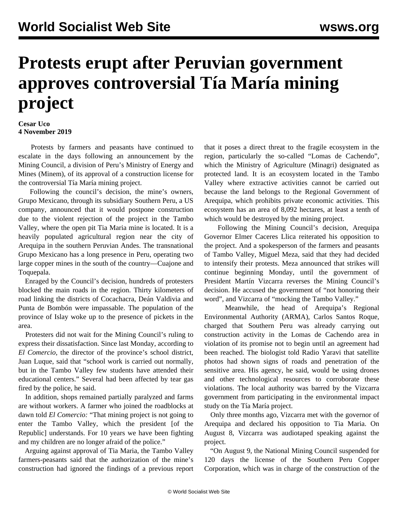## **Protests erupt after Peruvian government approves controversial Tía María mining project**

## **Cesar Uco 4 November 2019**

 Protests by farmers and peasants have continued to escalate in the days following an announcement by the Mining Council, a division of Peru's Ministry of Energy and Mines (Minem), of its approval of a construction license for the controversial Tía María mining project.

 Following the council's decision, the mine's owners, Grupo Mexicano, through its subsidiary Southern Peru, a US company, announced that it would postpone construction due to the violent rejection of the project in the Tambo Valley, where the open pit Tia Maria mine is located. It is a heavily populated agricultural region near the city of Arequipa in the southern Peruvian Andes. The transnational Grupo Mexicano has a long presence in Peru, operating two large copper mines in the south of the country—Cuajone and Toquepala.

 Enraged by the Council's decision, hundreds of protesters blocked the main roads in the region. Thirty kilometers of road linking the districts of Cocachacra, Deán Valdivia and Punta de Bombón were impassable. The population of the province of Islay woke up to the presence of pickets in the area.

 Protesters did not wait for the Mining Council's ruling to express their dissatisfaction. Since last Monday, according to *El Comercio*, the director of the province's school district, Juan Luque, said that "school work is carried out normally, but in the Tambo Valley few students have attended their educational centers." Several had been affected by tear gas fired by the police, he said.

 In addition, shops remained partially paralyzed and farms are without workers. A farmer who joined the roadblocks at dawn told *El Comercio:* "That mining project is not going to enter the Tambo Valley, which the president [of the Republic] understands. For 10 years we have been fighting and my children are no longer afraid of the police."

 Arguing against approval of Tia Maria, the Tambo Valley farmers-peasants said that the authorization of the mine's construction had ignored the findings of a previous report that it poses a direct threat to the fragile ecosystem in the region, particularly the so-called "Lomas de Cachendo", which the Ministry of Agriculture (Minagri) designated as protected land. It is an ecosystem located in the Tambo Valley where extractive activities cannot be carried out because the land belongs to the Regional Government of Arequipa, which prohibits private economic activities. This ecosystem has an area of 8,092 hectares, at least a tenth of which would be destroyed by the mining project.

 Following the Mining Council's decision, Arequipa Governor Elmer Caceres Llica reiterated his opposition to the project. And a spokesperson of the farmers and peasants of Tambo Valley, Miguel Meza, said that they had decided to intensify their protests. Meza announced that strikes will continue beginning Monday, until the government of President Martín Vizcarra reverses the Mining Council's decision. He accused the government of "not honoring their word", and Vizcarra of "mocking the Tambo Valley."

 Meanwhile, the head of Arequipa's Regional Environmental Authority (ARMA), Carlos Santos Roque, charged that Southern Peru was already carrying out construction activity in the Lomas de Cachendo area in violation of its promise not to begin until an agreement had been reached. The biologist told Radio Yaravi that satellite photos had shown signs of roads and penetration of the sensitive area. His agency, he said, would be using drones and other technological resources to corroborate these violations. The local authority was barred by the Vizcarra government from participating in the environmental impact study on the Tía María project.

 Only three months ago, Vizcarra met with the governor of Arequipa and declared his opposition to Tia Maria. On August 8, Vizcarra was audiotaped speaking against the project.

 "On August 9, the National Mining Council suspended for 120 days the license of the Southern Peru Copper Corporation, which was in charge of the construction of the